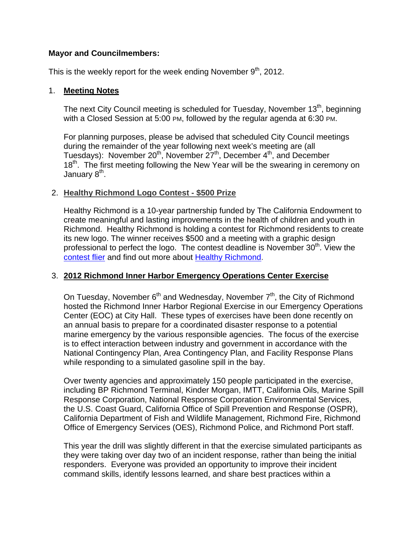# **Mayor and Councilmembers:**

This is the weekly report for the week ending November  $9<sup>th</sup>$ , 2012.

# 1. **Meeting Notes**

The next City Council meeting is scheduled for Tuesday, November 13<sup>th</sup>, beginning with a Closed Session at 5:00 PM, followed by the regular agenda at 6:30 PM.

For planning purposes, please be advised that scheduled City Council meetings during the remainder of the year following next week's meeting are (all Tuesdays): November 20<sup>th</sup>, November 27<sup>th</sup>, December 4<sup>th</sup>, and December  $18<sup>th</sup>$ . The first meeting following the New Year will be the swearing in ceremony on January 8<sup>th</sup>.

# 2. **Healthy Richmond Logo Contest - \$500 Prize**

Healthy Richmond is a 10-year partnership funded by The California Endowment to create meaningful and lasting improvements in the health of children and youth in Richmond. Healthy Richmond is holding a contest for Richmond residents to create its new logo. The winner receives \$500 and a meeting with a graphic design professional to perfect the logo. The contest deadline is November 30<sup>th</sup>. View the contest flier and find out more about Healthy Richmond.

# 3. **2012 Richmond Inner Harbor Emergency Operations Center Exercise**

On Tuesday, November  $6<sup>th</sup>$  and Wednesday, November  $7<sup>th</sup>$ , the City of Richmond hosted the Richmond Inner Harbor Regional Exercise in our Emergency Operations Center (EOC) at City Hall. These types of exercises have been done recently on an annual basis to prepare for a coordinated disaster response to a potential marine emergency by the various responsible agencies. The focus of the exercise is to effect interaction between industry and government in accordance with the National Contingency Plan, Area Contingency Plan, and Facility Response Plans while responding to a simulated gasoline spill in the bay.

Over twenty agencies and approximately 150 people participated in the exercise, including BP Richmond Terminal, Kinder Morgan, IMTT, California Oils, Marine Spill Response Corporation, National Response Corporation Environmental Services, the U.S. Coast Guard, California Office of Spill Prevention and Response (OSPR), California Department of Fish and Wildlife Management, Richmond Fire, Richmond Office of Emergency Services (OES), Richmond Police, and Richmond Port staff.

This year the drill was slightly different in that the exercise simulated participants as they were taking over day two of an incident response, rather than being the initial responders. Everyone was provided an opportunity to improve their incident command skills, identify lessons learned, and share best practices within a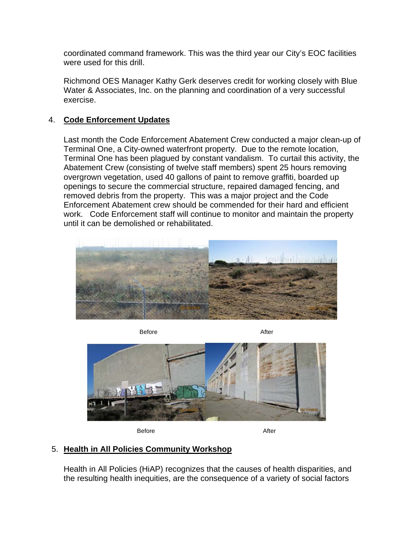coordinated command framework. This was the third year our City's EOC facilities were used for this drill.

Richmond OES Manager Kathy Gerk deserves credit for working closely with Blue Water & Associates, Inc. on the planning and coordination of a very successful exercise.

# 4. **Code Enforcement Updates**

Last month the Code Enforcement Abatement Crew conducted a major clean-up of Terminal One, a City-owned waterfront property. Due to the remote location, Terminal One has been plagued by constant vandalism. To curtail this activity, the Abatement Crew (consisting of twelve staff members) spent 25 hours removing overgrown vegetation, used 40 gallons of paint to remove graffiti, boarded up openings to secure the commercial structure, repaired damaged fencing, and removed debris from the property. This was a major project and the Code Enforcement Abatement crew should be commended for their hard and efficient work. Code Enforcement staff will continue to monitor and maintain the property until it can be demolished or rehabilitated.



Before After



Before After

# 5. **Health in All Policies Community Workshop**

Health in All Policies (HiAP) recognizes that the causes of health disparities, and the resulting health inequities, are the consequence of a variety of social factors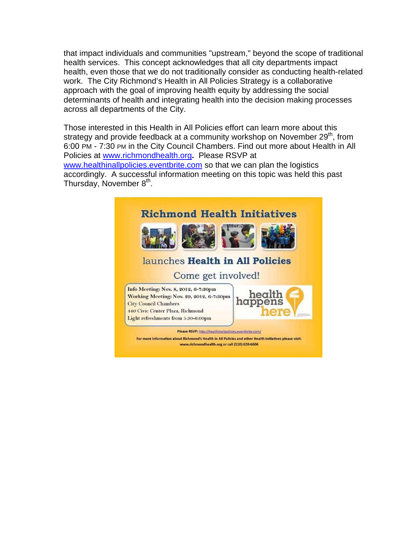that impact individuals and communities "upstream," beyond the scope of traditional health services. This concept acknowledges that all city departments impact health, even those that we do not traditionally consider as conducting health-related work. The City Richmond's Health in All Policies Strategy is a collaborative approach with the goal of improving health equity by addressing the social determinants of health and integrating health into the decision making processes across all departments of the City.

Those interested in this Health in All Policies effort can learn more about this strategy and provide feedback at a community workshop on November 29<sup>th</sup>, from 6:00 PM - 7:30 PM in the City Council Chambers. Find out more about Health in All Policies at www.richmondhealth.org**.** Please RSVP at www.healthinallpolicies.eventbrite.com so that we can plan the logistics accordingly. A successful information meeting on this topic was held this past Thursday, November 8<sup>th</sup>.

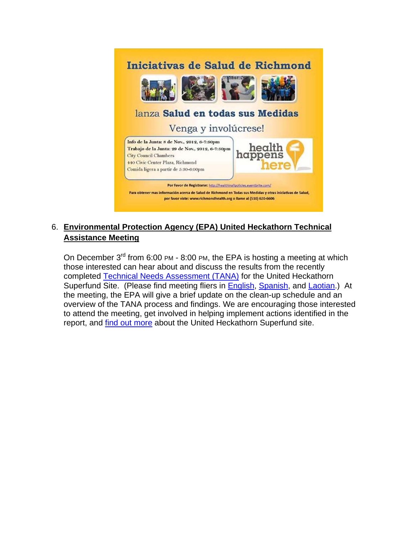

# 6. **Environmental Protection Agency (EPA) United Heckathorn Technical Assistance Meeting**

On December 3<sup>rd</sup> from 6:00 PM - 8:00 PM, the EPA is hosting a meeting at which those interested can hear about and discuss the results from the recently completed Technical Needs Assessment (TANA) for the United Heckathorn Superfund Site. (Please find meeting fliers in English, Spanish, and Laotian.) At the meeting, the EPA will give a brief update on the clean-up schedule and an overview of the TANA process and findings. We are encouraging those interested to attend the meeting, get involved in helping implement actions identified in the report, and find out more about the United Heckathorn Superfund site.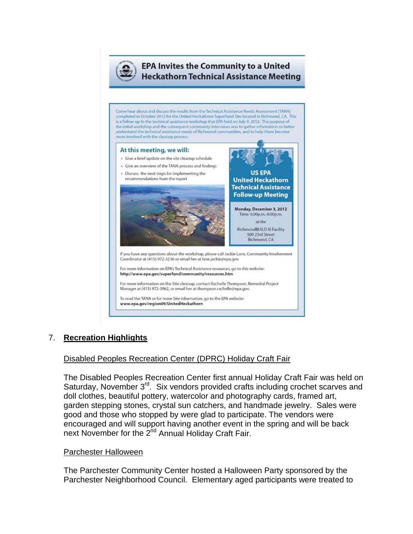

# **EPA Invites the Community to a United Heckathorn Technical Assistance Meeting**

Come hear about and discuss the results from the Technical Assistance Needs Assessment (TANA) completed in October 2012 for the United Heckathorn Superfund Site located in Richmond, CA. This is a follow-up to the technical assistance workshop that EPA held on July 9, 2012. The purpose of the initial workshop and the subsequent community interviews was to gather information to better understand the technical assistance needs of Richmond communities, and to help them become more involved with the cleanup process.

#### At this meeting, we will: » Give a brief update on the site cleanup schedule » Give an overview of the TANA process and findings » Discuss the next steps for implementing the **US EPA** recommendations from the report **United Heckathorn Technical Assistance Follow-up Meeting** Monday, December 3, 2012 Time: 6:00p.m.-8:00p.m. at the RichmondBUILD III Facility 500 23rd Street Richmond, CA If you have any questions about the workshop, please call Jackie Lane, Community Involvement Coordinator at (415) 972-3236 or email her at lane.jackie@epa.gov For more information on EPA's Technical Assistance resources, go to this website: http://www.epa.gov/superfund/community/resources.htm

For more information on the Site cleanup, contact Rachelle Thompson, Remedial Project Manager at (415) 972-3962, or email her at thompson.rachelle@epa.gov.

To read the TANA or for more Site information, go to the EPA website: www.epa.gov/region09/UnitedHeckathorn

# 7. **Recreation Highlights**

# Disabled Peoples Recreation Center (DPRC) Holiday Craft Fair

The Disabled Peoples Recreation Center first annual Holiday Craft Fair was held on Saturday, November 3<sup>rd</sup>. Six vendors provided crafts including crochet scarves and doll clothes, beautiful pottery, watercolor and photography cards, framed art, garden stepping stones, crystal sun catchers, and handmade jewelry. Sales were good and those who stopped by were glad to participate. The vendors were encouraged and will support having another event in the spring and will be back next November for the 2<sup>nd</sup> Annual Holiday Craft Fair.

#### Parchester Halloween

The Parchester Community Center hosted a Halloween Party sponsored by the Parchester Neighborhood Council. Elementary aged participants were treated to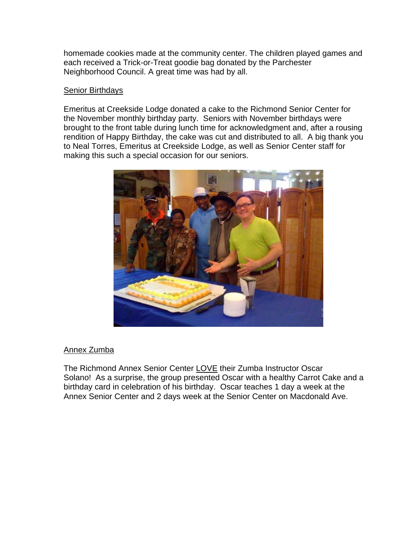homemade cookies made at the community center. The children played games and each received a Trick-or-Treat goodie bag donated by the Parchester Neighborhood Council. A great time was had by all.

### Senior Birthdays

Emeritus at Creekside Lodge donated a cake to the Richmond Senior Center for the November monthly birthday party. Seniors with November birthdays were brought to the front table during lunch time for acknowledgment and, after a rousing rendition of Happy Birthday, the cake was cut and distributed to all. A big thank you to Neal Torres, Emeritus at Creekside Lodge, as well as Senior Center staff for making this such a special occasion for our seniors.



# Annex Zumba

The Richmond Annex Senior Center LOVE their Zumba Instructor Oscar Solano! As a surprise, the group presented Oscar with a healthy Carrot Cake and a birthday card in celebration of his birthday. Oscar teaches 1 day a week at the Annex Senior Center and 2 days week at the Senior Center on Macdonald Ave.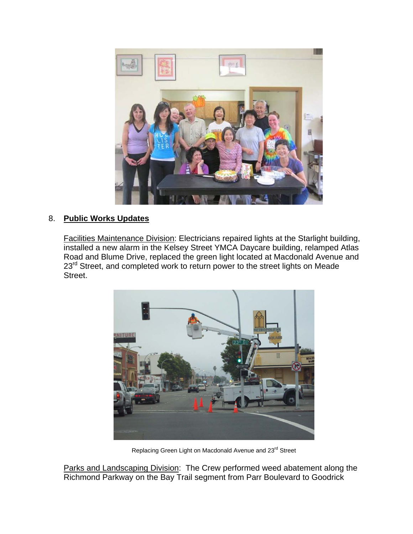

# 8. **Public Works Updates**

Facilities Maintenance Division: Electricians repaired lights at the Starlight building, installed a new alarm in the Kelsey Street YMCA Daycare building, relamped Atlas Road and Blume Drive, replaced the green light located at Macdonald Avenue and 23<sup>rd</sup> Street, and completed work to return power to the street lights on Meade Street.



Replacing Green Light on Macdonald Avenue and 23rd Street

Parks and Landscaping Division: The Crew performed weed abatement along the Richmond Parkway on the Bay Trail segment from Parr Boulevard to Goodrick